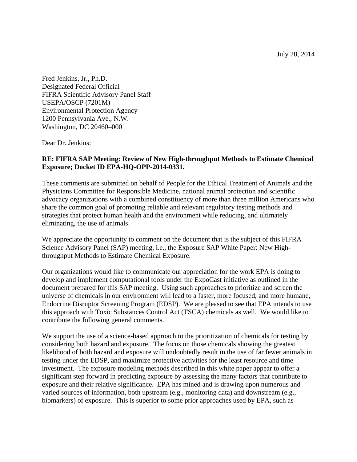July 28, 2014

Fred Jenkins, Jr., Ph.D. Designated Federal Official FIFRA Scientific Advisory Panel Staff USEPA/OSCP (7201M) Environmental Protection Agency 1200 Pennsylvania Ave., N.W. Washington, DC 20460–0001

Dear Dr. Jenkins:

## **RE: FIFRA SAP Meeting: Review of New High-throughput Methods to Estimate Chemical Exposure; Docket ID EPA-HQ-OPP-2014-0331.**

These comments are submitted on behalf of People for the Ethical Treatment of Animals and the Physicians Committee for Responsible Medicine, national animal protection and scientific advocacy organizations with a combined constituency of more than three million Americans who share the common goal of promoting reliable and relevant regulatory testing methods and strategies that protect human health and the environment while reducing, and ultimately eliminating, the use of animals.

We appreciate the opportunity to comment on the document that is the subject of this FIFRA Science Advisory Panel (SAP) meeting, i.e., the Exposure SAP White Paper: New Highthroughput Methods to Estimate Chemical Exposure.

Our organizations would like to communicate our appreciation for the work EPA is doing to develop and implement computational tools under the ExpoCast initiative as outlined in the document prepared for this SAP meeting. Using such approaches to prioritize and screen the universe of chemicals in our environment will lead to a faster, more focused, and more humane, Endocrine Disruptor Screening Program (EDSP). We are pleased to see that EPA intends to use this approach with Toxic Substances Control Act (TSCA) chemicals as well. We would like to contribute the following general comments.

We support the use of a science-based approach to the prioritization of chemicals for testing by considering both hazard and exposure. The focus on those chemicals showing the greatest likelihood of both hazard and exposure will undoubtedly result in the use of far fewer animals in testing under the EDSP, and maximize protective activities for the least resource and time investment. The exposure modeling methods described in this white paper appear to offer a significant step forward in predicting exposure by assessing the many factors that contribute to exposure and their relative significance. EPA has mined and is drawing upon numerous and varied sources of information, both upstream (e.g., monitoring data) and downstream (e.g., biomarkers) of exposure. This is superior to some prior approaches used by EPA, such as